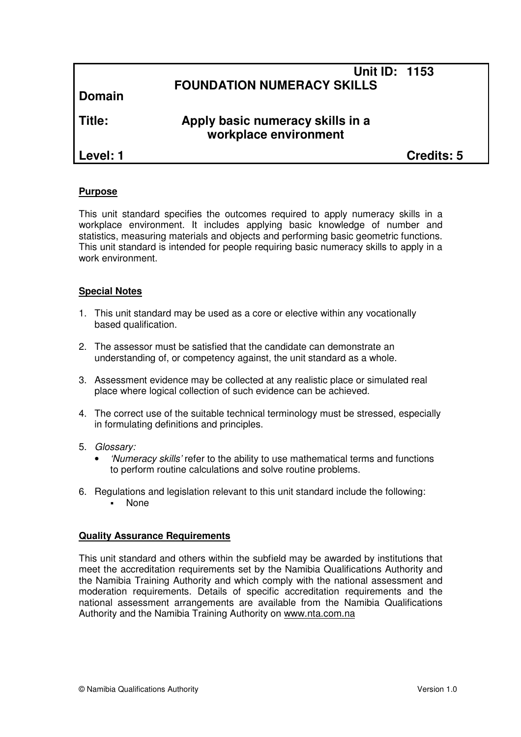## **Unit ID: 1153 FOUNDATION NUMERACY SKILLS**

**Domain**

# **Title: Apply basic numeracy skills in a workplace environment**

**Level: 1 Credits: 5**

#### **Purpose**

This unit standard specifies the outcomes required to apply numeracy skills in a workplace environment. It includes applying basic knowledge of number and statistics, measuring materials and objects and performing basic geometric functions. This unit standard is intended for people requiring basic numeracy skills to apply in a work environment.

### **Special Notes**

- 1. This unit standard may be used as a core or elective within any vocationally based qualification.
- 2. The assessor must be satisfied that the candidate can demonstrate an understanding of, or competency against, the unit standard as a whole.
- 3. Assessment evidence may be collected at any realistic place or simulated real place where logical collection of such evidence can be achieved.
- 4. The correct use of the suitable technical terminology must be stressed, especially in formulating definitions and principles.
- 5. Glossary:
	- 'Numeracy skills' refer to the ability to use mathematical terms and functions to perform routine calculations and solve routine problems.
- 6. Regulations and legislation relevant to this unit standard include the following: None

#### **Quality Assurance Requirements**

This unit standard and others within the subfield may be awarded by institutions that meet the accreditation requirements set by the Namibia Qualifications Authority and the Namibia Training Authority and which comply with the national assessment and moderation requirements. Details of specific accreditation requirements and the national assessment arrangements are available from the Namibia Qualifications Authority and the Namibia Training Authority on www.nta.com.na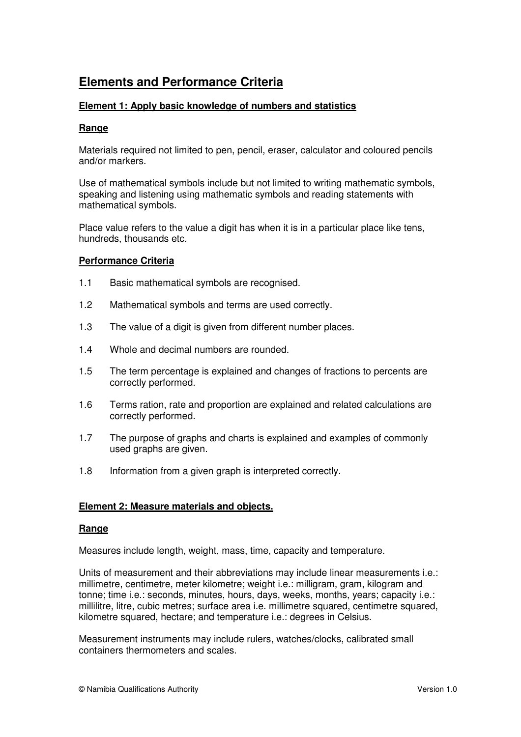# **Elements and Performance Criteria**

### **Element 1: Apply basic knowledge of numbers and statistics**

#### **Range**

Materials required not limited to pen, pencil, eraser, calculator and coloured pencils and/or markers.

Use of mathematical symbols include but not limited to writing mathematic symbols, speaking and listening using mathematic symbols and reading statements with mathematical symbols.

Place value refers to the value a digit has when it is in a particular place like tens, hundreds, thousands etc.

#### **Performance Criteria**

- 1.1 Basic mathematical symbols are recognised.
- 1.2 Mathematical symbols and terms are used correctly.
- 1.3 The value of a digit is given from different number places.
- 1.4 Whole and decimal numbers are rounded.
- 1.5 The term percentage is explained and changes of fractions to percents are correctly performed.
- 1.6 Terms ration, rate and proportion are explained and related calculations are correctly performed.
- 1.7 The purpose of graphs and charts is explained and examples of commonly used graphs are given.
- 1.8 Information from a given graph is interpreted correctly.

#### **Element 2: Measure materials and objects.**

#### **Range**

Measures include length, weight, mass, time, capacity and temperature.

Units of measurement and their abbreviations may include linear measurements i.e.: millimetre, centimetre, meter kilometre; weight i.e.: milligram, gram, kilogram and tonne; time i.e.: seconds, minutes, hours, days, weeks, months, years; capacity i.e.: millilitre, litre, cubic metres; surface area i.e. millimetre squared, centimetre squared, kilometre squared, hectare; and temperature i.e.: degrees in Celsius.

Measurement instruments may include rulers, watches/clocks, calibrated small containers thermometers and scales.